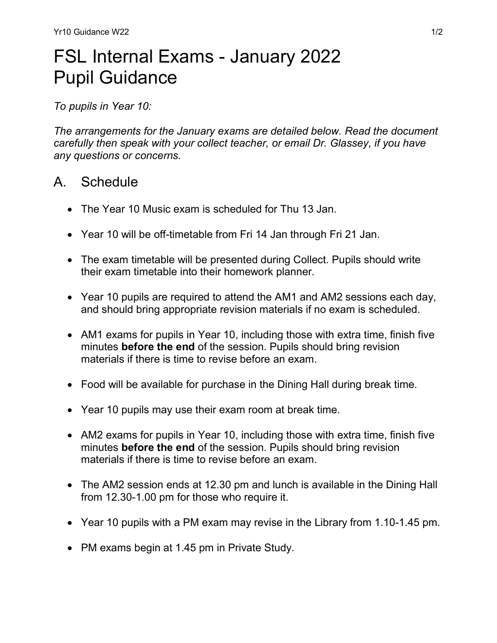## FSL Internal Exams - January 2022 Pupil Guidance

To pupils in Year 10:

The arrangements for the January exams are detailed below. Read the document carefully then speak with your collect teacher, or email Dr. Glassey, if you have any questions or concerns.

## A. Schedule

- The Year 10 Music exam is scheduled for Thu 13 Jan.
- Year 10 will be off-timetable from Fri 14 Jan through Fri 21 Jan.
- The exam timetable will be presented during Collect. Pupils should write their exam timetable into their homework planner.
- Year 10 pupils are required to attend the AM1 and AM2 sessions each day, and should bring appropriate revision materials if no exam is scheduled.
- AM1 exams for pupils in Year 10, including those with extra time, finish five minutes **before the end** of the session. Pupils should bring revision materials if there is time to revise before an exam.
- Food will be available for purchase in the Dining Hall during break time.
- Year 10 pupils may use their exam room at break time.
- AM2 exams for pupils in Year 10, including those with extra time, finish five minutes **before the end** of the session. Pupils should bring revision materials if there is time to revise before an exam.
- The AM2 session ends at 12.30 pm and lunch is available in the Dining Hall from 12.30-1.00 pm for those who require it.
- Year 10 pupils with a PM exam may revise in the Library from 1.10-1.45 pm.
- PM exams begin at 1.45 pm in Private Study.